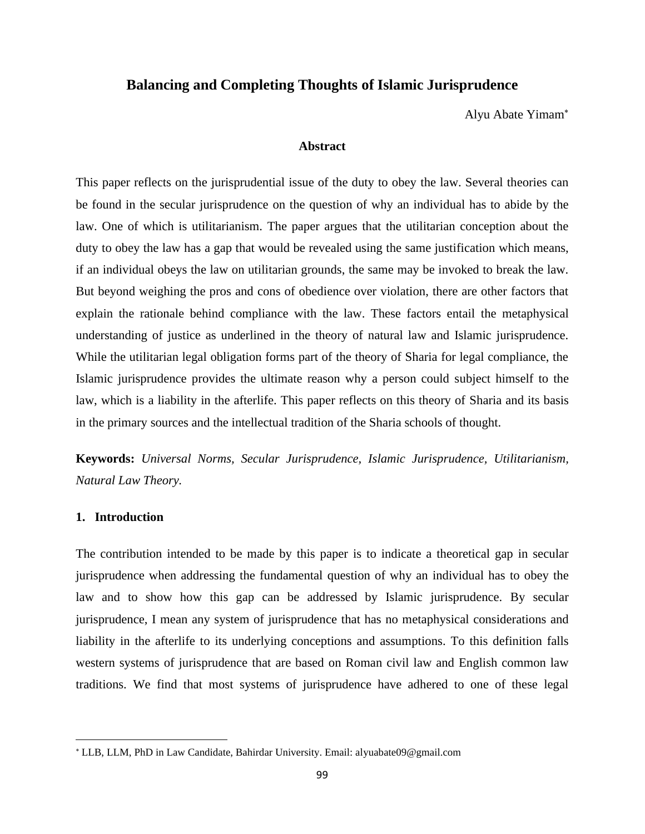# **Balancing and Completing Thoughts of Islamic Jurisprudence**

Alyu Abate Yimam

## **Abstract**

This paper reflects on the jurisprudential issue of the duty to obey the law. Several theories can be found in the secular jurisprudence on the question of why an individual has to abide by the law. One of which is utilitarianism. The paper argues that the utilitarian conception about the duty to obey the law has a gap that would be revealed using the same justification which means, if an individual obeys the law on utilitarian grounds, the same may be invoked to break the law. But beyond weighing the pros and cons of obedience over violation, there are other factors that explain the rationale behind compliance with the law. These factors entail the metaphysical understanding of justice as underlined in the theory of natural law and Islamic jurisprudence. While the utilitarian legal obligation forms part of the theory of Sharia for legal compliance, the Islamic jurisprudence provides the ultimate reason why a person could subject himself to the law, which is a liability in the afterlife. This paper reflects on this theory of Sharia and its basis in the primary sources and the intellectual tradition of the Sharia schools of thought.

**Keywords:** *Universal Norms, Secular Jurisprudence, Islamic Jurisprudence, Utilitarianism, Natural Law Theory.*

### **1. Introduction**

The contribution intended to be made by this paper is to indicate a theoretical gap in secular jurisprudence when addressing the fundamental question of why an individual has to obey the law and to show how this gap can be addressed by Islamic jurisprudence. By secular jurisprudence, I mean any system of jurisprudence that has no metaphysical considerations and liability in the afterlife to its underlying conceptions and assumptions. To this definition falls western systems of jurisprudence that are based on Roman civil law and English common law traditions. We find that most systems of jurisprudence have adhered to one of these legal

LLB, LLM, PhD in Law Candidate, Bahirdar University. Email: alyuabate09@gmail.com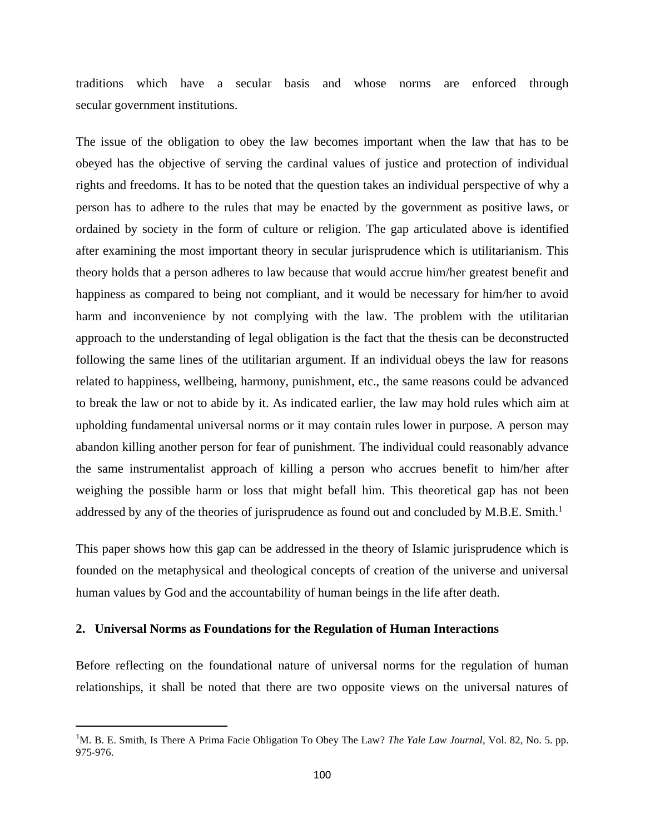traditions which have a secular basis and whose norms are enforced through secular government institutions.

The issue of the obligation to obey the law becomes important when the law that has to be obeyed has the objective of serving the cardinal values of justice and protection of individual rights and freedoms. It has to be noted that the question takes an individual perspective of why a person has to adhere to the rules that may be enacted by the government as positive laws, or ordained by society in the form of culture or religion. The gap articulated above is identified after examining the most important theory in secular jurisprudence which is utilitarianism. This theory holds that a person adheres to law because that would accrue him/her greatest benefit and happiness as compared to being not compliant, and it would be necessary for him/her to avoid harm and inconvenience by not complying with the law. The problem with the utilitarian approach to the understanding of legal obligation is the fact that the thesis can be deconstructed following the same lines of the utilitarian argument. If an individual obeys the law for reasons related to happiness, wellbeing, harmony, punishment, etc., the same reasons could be advanced to break the law or not to abide by it. As indicated earlier, the law may hold rules which aim at upholding fundamental universal norms or it may contain rules lower in purpose. A person may abandon killing another person for fear of punishment. The individual could reasonably advance the same instrumentalist approach of killing a person who accrues benefit to him/her after weighing the possible harm or loss that might befall him. This theoretical gap has not been addressed by any of the theories of jurisprudence as found out and concluded by M.B.E. Smith.<sup>1</sup>

This paper shows how this gap can be addressed in the theory of Islamic jurisprudence which is founded on the metaphysical and theological concepts of creation of the universe and universal human values by God and the accountability of human beings in the life after death.

#### **2. Universal Norms as Foundations for the Regulation of Human Interactions**

Before reflecting on the foundational nature of universal norms for the regulation of human relationships, it shall be noted that there are two opposite views on the universal natures of

<sup>1</sup>M. B. E. Smith, Is There A Prima Facie Obligation To Obey The Law? *The Yale Law Journal*, Vol. 82, No. 5. pp. 975-976.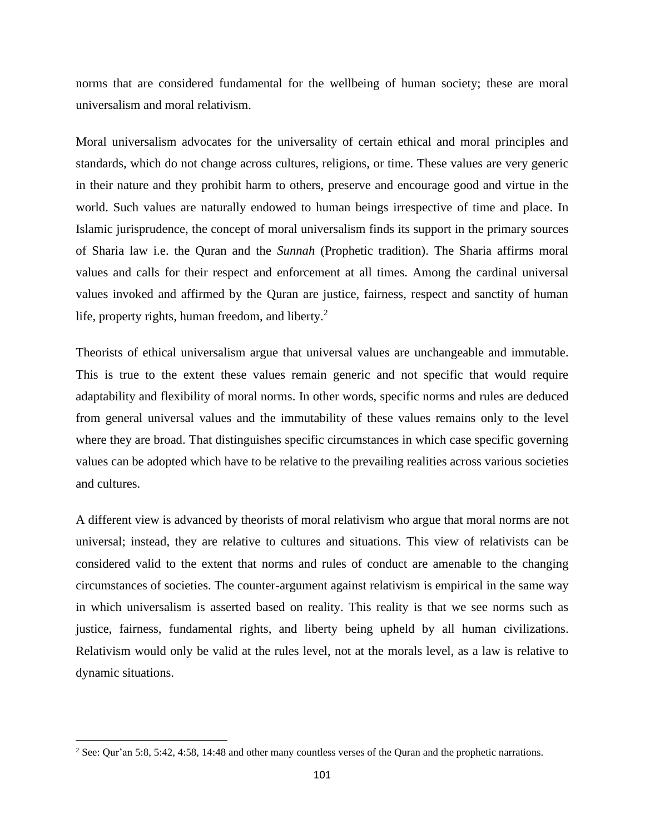norms that are considered fundamental for the wellbeing of human society; these are moral universalism and moral relativism.

Moral universalism advocates for the universality of certain ethical and moral principles and standards, which do not change across cultures, religions, or time. These values are very generic in their nature and they prohibit harm to others, preserve and encourage good and virtue in the world. Such values are naturally endowed to human beings irrespective of time and place. In Islamic jurisprudence, the concept of moral universalism finds its support in the primary sources of Sharia law i.e. the Quran and the *Sunnah* (Prophetic tradition). The Sharia affirms moral values and calls for their respect and enforcement at all times. Among the cardinal universal values invoked and affirmed by the Quran are justice, fairness, respect and sanctity of human life, property rights, human freedom, and liberty. $<sup>2</sup>$ </sup>

Theorists of ethical universalism argue that universal values are unchangeable and immutable. This is true to the extent these values remain generic and not specific that would require adaptability and flexibility of moral norms. In other words, specific norms and rules are deduced from general universal values and the immutability of these values remains only to the level where they are broad. That distinguishes specific circumstances in which case specific governing values can be adopted which have to be relative to the prevailing realities across various societies and cultures.

A different view is advanced by theorists of moral relativism who argue that moral norms are not universal; instead, they are relative to cultures and situations. This view of relativists can be considered valid to the extent that norms and rules of conduct are amenable to the changing circumstances of societies. The counter-argument against relativism is empirical in the same way in which universalism is asserted based on reality. This reality is that we see norms such as justice, fairness, fundamental rights, and liberty being upheld by all human civilizations. Relativism would only be valid at the rules level, not at the morals level, as a law is relative to dynamic situations.

<sup>&</sup>lt;sup>2</sup> See: Qur'an 5:8, 5:42, 4:58, 14:48 and other many countless verses of the Quran and the prophetic narrations.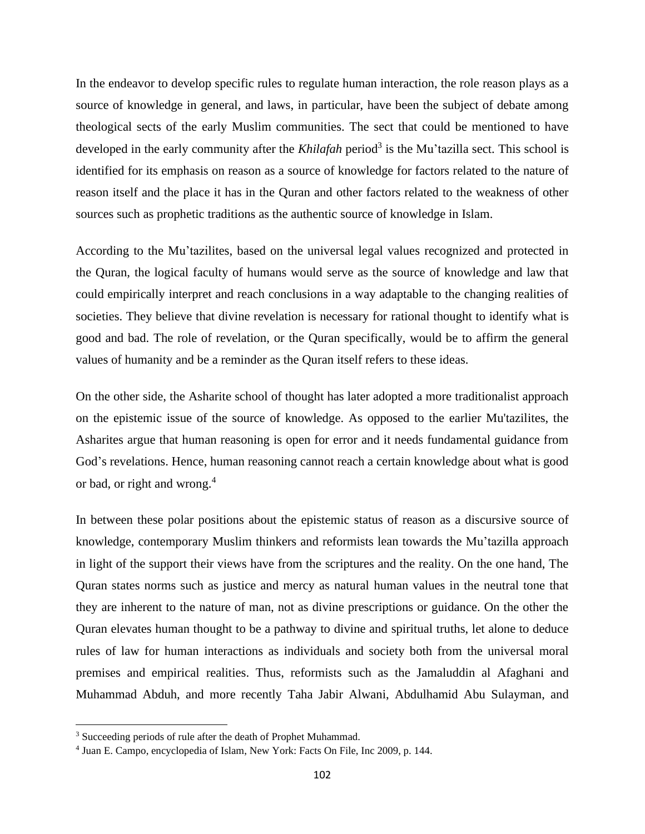In the endeavor to develop specific rules to regulate human interaction, the role reason plays as a source of knowledge in general, and laws, in particular, have been the subject of debate among theological sects of the early Muslim communities. The sect that could be mentioned to have developed in the early community after the *Khilafah* period<sup>3</sup> is the Mu'tazilla sect. This school is identified for its emphasis on reason as a source of knowledge for factors related to the nature of reason itself and the place it has in the Quran and other factors related to the weakness of other sources such as prophetic traditions as the authentic source of knowledge in Islam.

According to the Mu'tazilites, based on the universal legal values recognized and protected in the Quran, the logical faculty of humans would serve as the source of knowledge and law that could empirically interpret and reach conclusions in a way adaptable to the changing realities of societies. They believe that divine revelation is necessary for rational thought to identify what is good and bad. The role of revelation, or the Quran specifically, would be to affirm the general values of humanity and be a reminder as the Quran itself refers to these ideas.

On the other side, the Asharite school of thought has later adopted a more traditionalist approach on the epistemic issue of the source of knowledge. As opposed to the earlier Mu'tazilites, the Asharites argue that human reasoning is open for error and it needs fundamental guidance from God's revelations. Hence, human reasoning cannot reach a certain knowledge about what is good or bad, or right and wrong.<sup>4</sup>

In between these polar positions about the epistemic status of reason as a discursive source of knowledge, contemporary Muslim thinkers and reformists lean towards the Mu'tazilla approach in light of the support their views have from the scriptures and the reality. On the one hand, The Quran states norms such as justice and mercy as natural human values in the neutral tone that they are inherent to the nature of man, not as divine prescriptions or guidance. On the other the Quran elevates human thought to be a pathway to divine and spiritual truths, let alone to deduce rules of law for human interactions as individuals and society both from the universal moral premises and empirical realities. Thus, reformists such as the Jamaluddin al Afaghani and Muhammad Abduh, and more recently Taha Jabir Alwani, Abdulhamid Abu Sulayman, and

<sup>&</sup>lt;sup>3</sup> Succeeding periods of rule after the death of Prophet Muhammad.

<sup>4</sup> Juan E. Campo, encyclopedia of Islam, New York: Facts On File, Inc 2009, p. 144.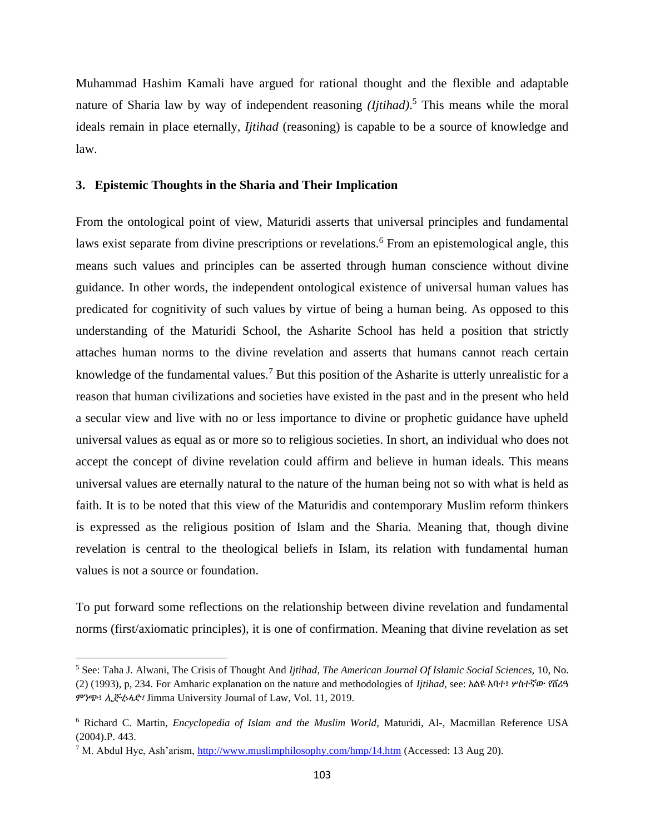Muhammad Hashim Kamali have argued for rational thought and the flexible and adaptable nature of Sharia law by way of independent reasoning *(Ijtihad)*. <sup>5</sup> This means while the moral ideals remain in place eternally, *Ijtihad* (reasoning) is capable to be a source of knowledge and law.

## **3. Epistemic Thoughts in the Sharia and Their Implication**

From the ontological point of view, Maturidi asserts that universal principles and fundamental laws exist separate from divine prescriptions or revelations.<sup>6</sup> From an epistemological angle, this means such values and principles can be asserted through human conscience without divine guidance. In other words, the independent ontological existence of universal human values has predicated for cognitivity of such values by virtue of being a human being. As opposed to this understanding of the Maturidi School, the Asharite School has held a position that strictly attaches human norms to the divine revelation and asserts that humans cannot reach certain knowledge of the fundamental values.<sup>7</sup> But this position of the Asharite is utterly unrealistic for a reason that human civilizations and societies have existed in the past and in the present who held a secular view and live with no or less importance to divine or prophetic guidance have upheld universal values as equal as or more so to religious societies. In short, an individual who does not accept the concept of divine revelation could affirm and believe in human ideals. This means universal values are eternally natural to the nature of the human being not so with what is held as faith. It is to be noted that this view of the Maturidis and contemporary Muslim reform thinkers is expressed as the religious position of Islam and the Sharia. Meaning that, though divine revelation is central to the theological beliefs in Islam, its relation with fundamental human values is not a source or foundation.

To put forward some reflections on the relationship between divine revelation and fundamental norms (first/axiomatic principles), it is one of confirmation. Meaning that divine revelation as set

<sup>5</sup> See: Taha J. Alwani, The Crisis of Thought And *Ijtihad*, *The American Journal Of Islamic Social Sciences,* 10, No. (2) (1993), p, 234. For Amharic explanation on the nature and methodologies of *Ijtihad*, see: አልዩ አባተ፣ ሦስተኛው የሸሪዓ ምንጭ፣ ኢጅቲሓድ፣ Jimma University Journal of Law, Vol. 11, 2019.

<sup>6</sup> Richard C. Martin, *Encyclopedia of Islam and the Muslim World*, Maturidi, Al-, Macmillan Reference USA (2004).P. 443.

<sup>&</sup>lt;sup>7</sup> M. Abdul Hye, Ash'arism,<http://www.muslimphilosophy.com/hmp/14.htm> (Accessed: 13 Aug 20).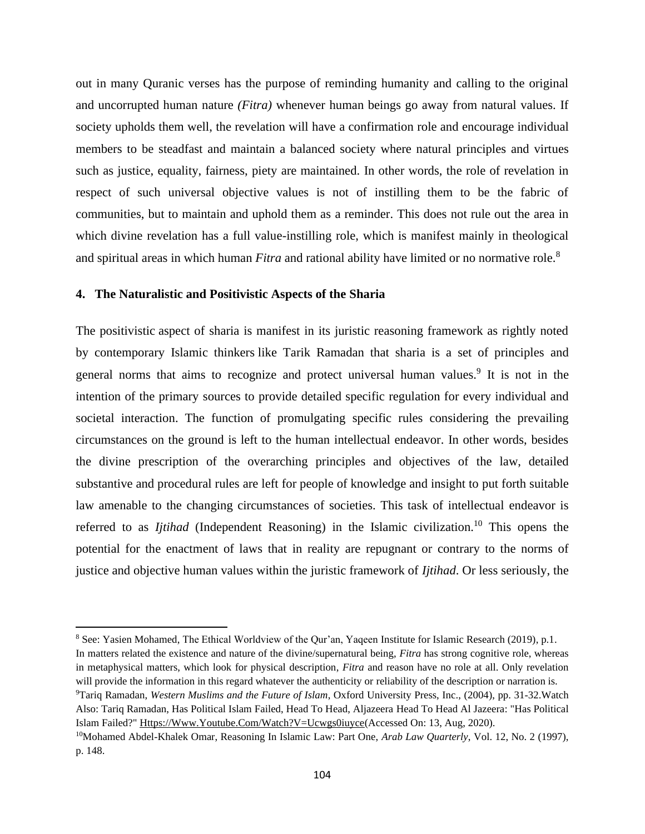out in many Quranic verses has the purpose of reminding humanity and calling to the original and uncorrupted human nature *(Fitra)* whenever human beings go away from natural values. If society upholds them well, the revelation will have a confirmation role and encourage individual members to be steadfast and maintain a balanced society where natural principles and virtues such as justice, equality, fairness, piety are maintained. In other words, the role of revelation in respect of such universal objective values is not of instilling them to be the fabric of communities, but to maintain and uphold them as a reminder. This does not rule out the area in which divine revelation has a full value-instilling role, which is manifest mainly in theological and spiritual areas in which human *Fitra* and rational ability have limited or no normative role.<sup>8</sup>

## **4. The Naturalistic and Positivistic Aspects of the Sharia**

The positivistic aspect of sharia is manifest in its juristic reasoning framework as rightly noted by contemporary Islamic thinkers like Tarik Ramadan that sharia is a set of principles and general norms that aims to recognize and protect universal human values.<sup>9</sup> It is not in the intention of the primary sources to provide detailed specific regulation for every individual and societal interaction. The function of promulgating specific rules considering the prevailing circumstances on the ground is left to the human intellectual endeavor. In other words, besides the divine prescription of the overarching principles and objectives of the law, detailed substantive and procedural rules are left for people of knowledge and insight to put forth suitable law amenable to the changing circumstances of societies. This task of intellectual endeavor is referred to as *Ijtihad* (Independent Reasoning) in the Islamic civilization. <sup>10</sup> This opens the potential for the enactment of laws that in reality are repugnant or contrary to the norms of justice and objective human values within the juristic framework of *Ijtihad*. Or less seriously, the

<sup>8</sup> See: Yasien Mohamed, The Ethical Worldview of the Qur'an, Yaqeen Institute for Islamic Research (2019), p.1. In matters related the existence and nature of the divine/supernatural being, *Fitra* has strong cognitive role, whereas in metaphysical matters, which look for physical description, *Fitra* and reason have no role at all. Only revelation will provide the information in this regard whatever the authenticity or reliability of the description or narration is. <sup>9</sup>Tariq Ramadan, *Western Muslims and the Future of Islam*, Oxford University Press, Inc., (2004), pp. 31-32.Watch Also: Tariq Ramadan, Has Political Islam Failed, Head To Head, Aljazeera Head To Head Al Jazeera: "Has Political

Islam Failed?[" Https://Www.Youtube.Com/Watch?V=Ucwgs0iuyce\(](https://www.youtube.com/watch?v=ucwGS0iUycE)Accessed On: 13, Aug, 2020).

<sup>10</sup>Mohamed Abdel-Khalek Omar, Reasoning In Islamic Law: Part One, *Arab Law Quarterly*, Vol. 12, No. 2 (1997), p. 148.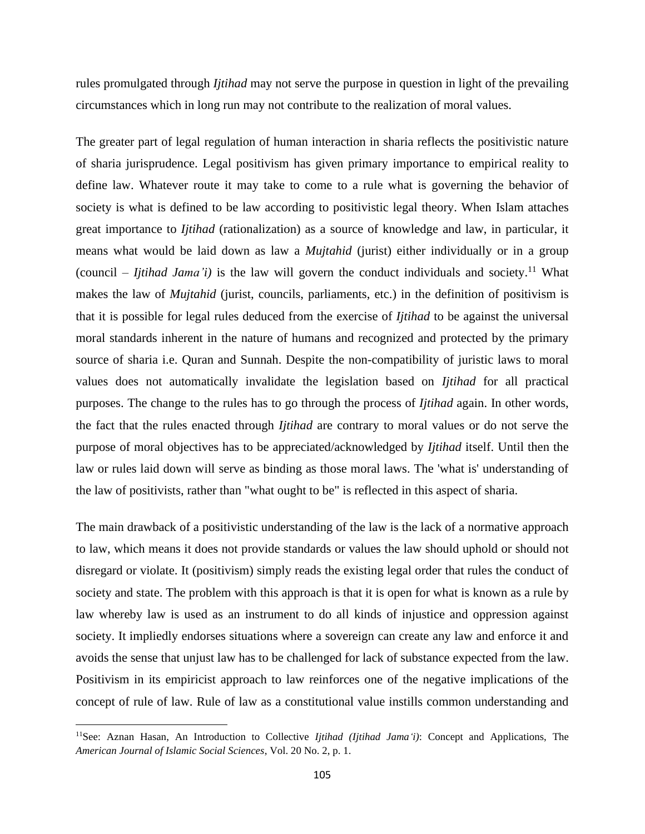rules promulgated through *Ijtihad* may not serve the purpose in question in light of the prevailing circumstances which in long run may not contribute to the realization of moral values.

The greater part of legal regulation of human interaction in sharia reflects the positivistic nature of sharia jurisprudence. Legal positivism has given primary importance to empirical reality to define law. Whatever route it may take to come to a rule what is governing the behavior of society is what is defined to be law according to positivistic legal theory. When Islam attaches great importance to *Ijtihad* (rationalization) as a source of knowledge and law, in particular, it means what would be laid down as law a *Mujtahid* (jurist) either individually or in a group (council – *Ijtihad Jama'i*) is the law will govern the conduct individuals and society.<sup>11</sup> What makes the law of *Mujtahid* (jurist, councils, parliaments, etc.) in the definition of positivism is that it is possible for legal rules deduced from the exercise of *Ijtihad* to be against the universal moral standards inherent in the nature of humans and recognized and protected by the primary source of sharia i.e. Quran and Sunnah. Despite the non-compatibility of juristic laws to moral values does not automatically invalidate the legislation based on *Ijtihad* for all practical purposes. The change to the rules has to go through the process of *Ijtihad* again. In other words, the fact that the rules enacted through *Ijtihad* are contrary to moral values or do not serve the purpose of moral objectives has to be appreciated/acknowledged by *Ijtihad* itself. Until then the law or rules laid down will serve as binding as those moral laws. The 'what is' understanding of the law of positivists, rather than "what ought to be" is reflected in this aspect of sharia.

The main drawback of a positivistic understanding of the law is the lack of a normative approach to law, which means it does not provide standards or values the law should uphold or should not disregard or violate. It (positivism) simply reads the existing legal order that rules the conduct of society and state. The problem with this approach is that it is open for what is known as a rule by law whereby law is used as an instrument to do all kinds of injustice and oppression against society. It impliedly endorses situations where a sovereign can create any law and enforce it and avoids the sense that unjust law has to be challenged for lack of substance expected from the law. Positivism in its empiricist approach to law reinforces one of the negative implications of the concept of rule of law. Rule of law as a constitutional value instills common understanding and

<sup>11</sup>See: Aznan Hasan, An Introduction to Collective *Ijtihad (Ijtihad Jama'i)*: Concept and Applications, The *American Journal of Islamic Social Sciences*, Vol. 20 No. 2, p. 1.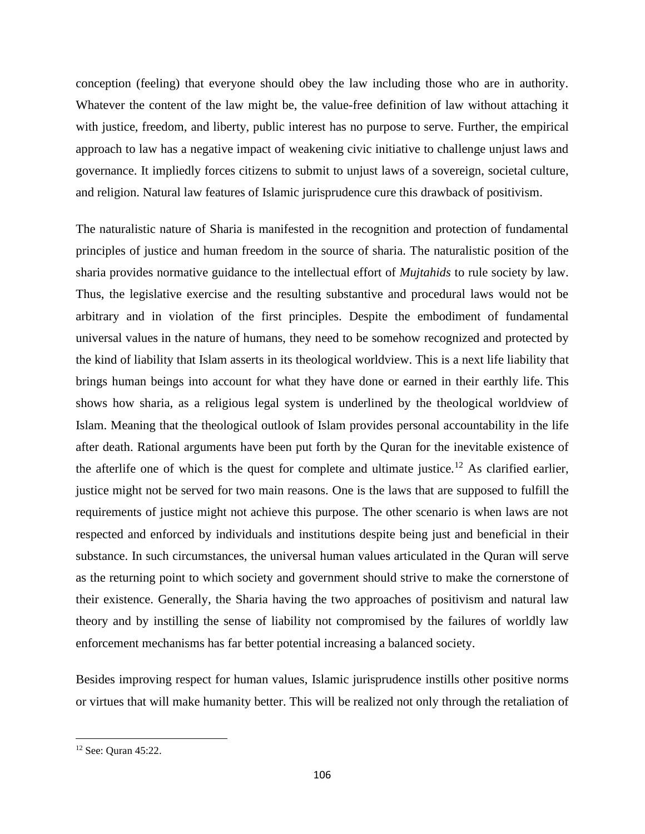conception (feeling) that everyone should obey the law including those who are in authority. Whatever the content of the law might be, the value-free definition of law without attaching it with justice, freedom, and liberty, public interest has no purpose to serve. Further, the empirical approach to law has a negative impact of weakening civic initiative to challenge unjust laws and governance. It impliedly forces citizens to submit to unjust laws of a sovereign, societal culture, and religion. Natural law features of Islamic jurisprudence cure this drawback of positivism.

The naturalistic nature of Sharia is manifested in the recognition and protection of fundamental principles of justice and human freedom in the source of sharia. The naturalistic position of the sharia provides normative guidance to the intellectual effort of *Mujtahids* to rule society by law. Thus, the legislative exercise and the resulting substantive and procedural laws would not be arbitrary and in violation of the first principles. Despite the embodiment of fundamental universal values in the nature of humans, they need to be somehow recognized and protected by the kind of liability that Islam asserts in its theological worldview. This is a next life liability that brings human beings into account for what they have done or earned in their earthly life. This shows how sharia, as a religious legal system is underlined by the theological worldview of Islam. Meaning that the theological outlook of Islam provides personal accountability in the life after death. Rational arguments have been put forth by the Quran for the inevitable existence of the afterlife one of which is the quest for complete and ultimate justice.<sup>12</sup> As clarified earlier, justice might not be served for two main reasons. One is the laws that are supposed to fulfill the requirements of justice might not achieve this purpose. The other scenario is when laws are not respected and enforced by individuals and institutions despite being just and beneficial in their substance. In such circumstances, the universal human values articulated in the Quran will serve as the returning point to which society and government should strive to make the cornerstone of their existence. Generally, the Sharia having the two approaches of positivism and natural law theory and by instilling the sense of liability not compromised by the failures of worldly law enforcement mechanisms has far better potential increasing a balanced society.

Besides improving respect for human values, Islamic jurisprudence instills other positive norms or virtues that will make humanity better. This will be realized not only through the retaliation of

<sup>12</sup> See: Quran 45:22.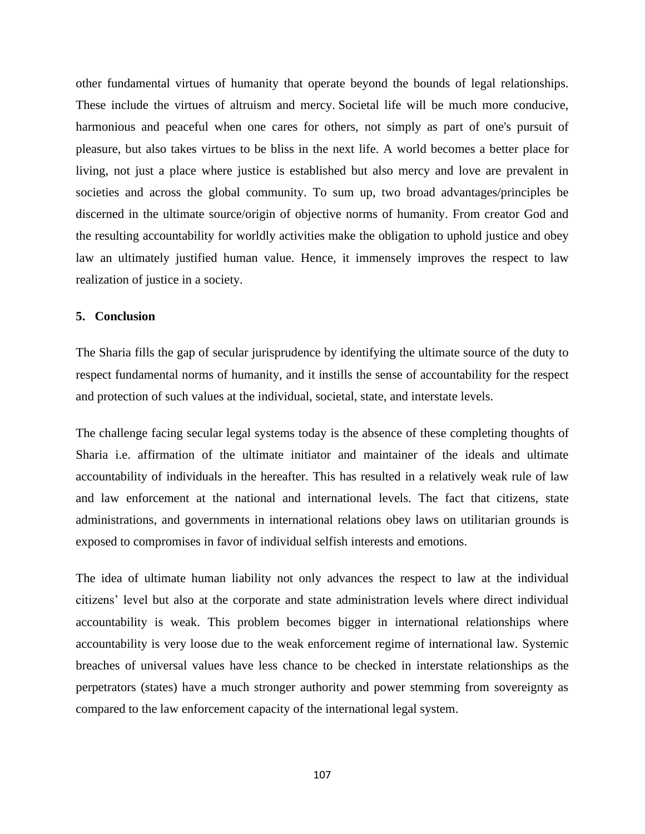other fundamental virtues of humanity that operate beyond the bounds of legal relationships. These include the virtues of altruism and mercy. Societal life will be much more conducive, harmonious and peaceful when one cares for others, not simply as part of one's pursuit of pleasure, but also takes virtues to be bliss in the next life. A world becomes a better place for living, not just a place where justice is established but also mercy and love are prevalent in societies and across the global community. To sum up, two broad advantages/principles be discerned in the ultimate source/origin of objective norms of humanity. From creator God and the resulting accountability for worldly activities make the obligation to uphold justice and obey law an ultimately justified human value. Hence, it immensely improves the respect to law realization of justice in a society.

#### **5. Conclusion**

The Sharia fills the gap of secular jurisprudence by identifying the ultimate source of the duty to respect fundamental norms of humanity, and it instills the sense of accountability for the respect and protection of such values at the individual, societal, state, and interstate levels.

The challenge facing secular legal systems today is the absence of these completing thoughts of Sharia i.e. affirmation of the ultimate initiator and maintainer of the ideals and ultimate accountability of individuals in the hereafter. This has resulted in a relatively weak rule of law and law enforcement at the national and international levels. The fact that citizens, state administrations, and governments in international relations obey laws on utilitarian grounds is exposed to compromises in favor of individual selfish interests and emotions.

The idea of ultimate human liability not only advances the respect to law at the individual citizens' level but also at the corporate and state administration levels where direct individual accountability is weak. This problem becomes bigger in international relationships where accountability is very loose due to the weak enforcement regime of international law. Systemic breaches of universal values have less chance to be checked in interstate relationships as the perpetrators (states) have a much stronger authority and power stemming from sovereignty as compared to the law enforcement capacity of the international legal system.